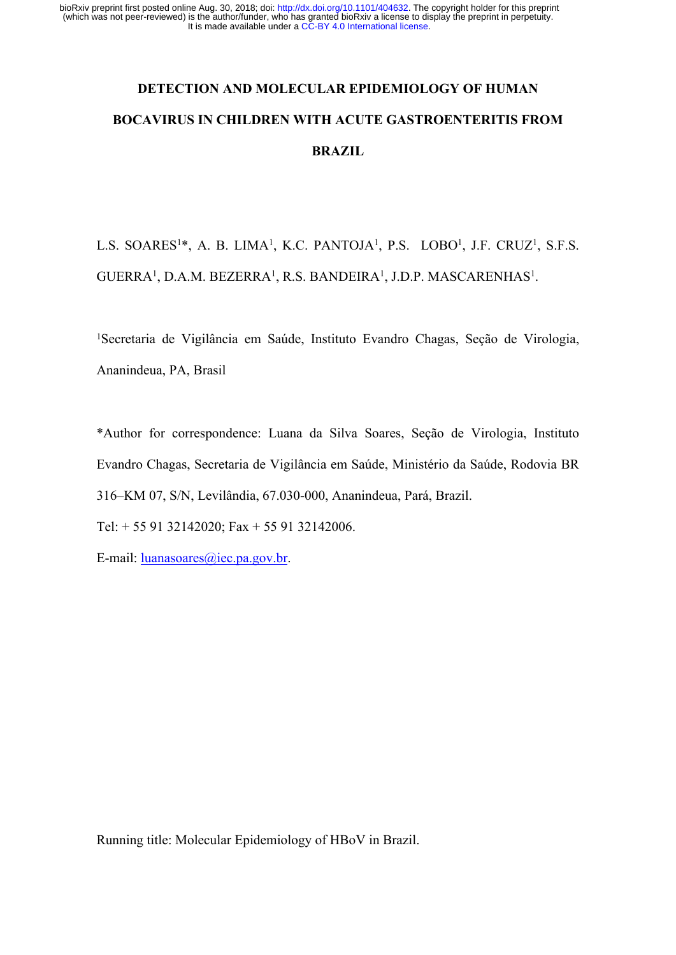# **DETECTION AND MOLECULAR EPIDEMIOLOGY OF HUMAN BOCAVIRUS IN CHILDREN WITH ACUTE GASTROENTERITIS FROM BRAZIL**

L.S. SOARES<sup>1\*</sup>, A. B. LIMA<sup>1</sup>, K.C. PANTOJA<sup>1</sup>, P.S. LOBO<sup>1</sup>, J.F. CRUZ<sup>1</sup>, S.F.S. GUERRA<sup>1</sup>, D.A.M. BEZERRA<sup>1</sup>, R.S. BANDEIRA<sup>1</sup>, J.D.P. MASCARENHAS<sup>1</sup>.

<sup>1</sup>Secretaria de Vigilância em Saúde, Instituto Evandro Chagas, Seção de Virologia, Ananindeua, PA, Brasil

\*Author for correspondence: Luana da Silva Soares, Seção de Virologia, Instituto Evandro Chagas, Secretaria de Vigilância em Saúde, Ministério da Saúde, Rodovia BR 316–KM 07, S/N, Levilândia, 67.030-000, Ananindeua, Pará, Brazil.

Tel: + 55 91 32142020; Fax + 55 91 32142006.

E-mail: luanasoares@iec.pa.gov.br.

Running title: Molecular Epidemiology of HBoV in Brazil.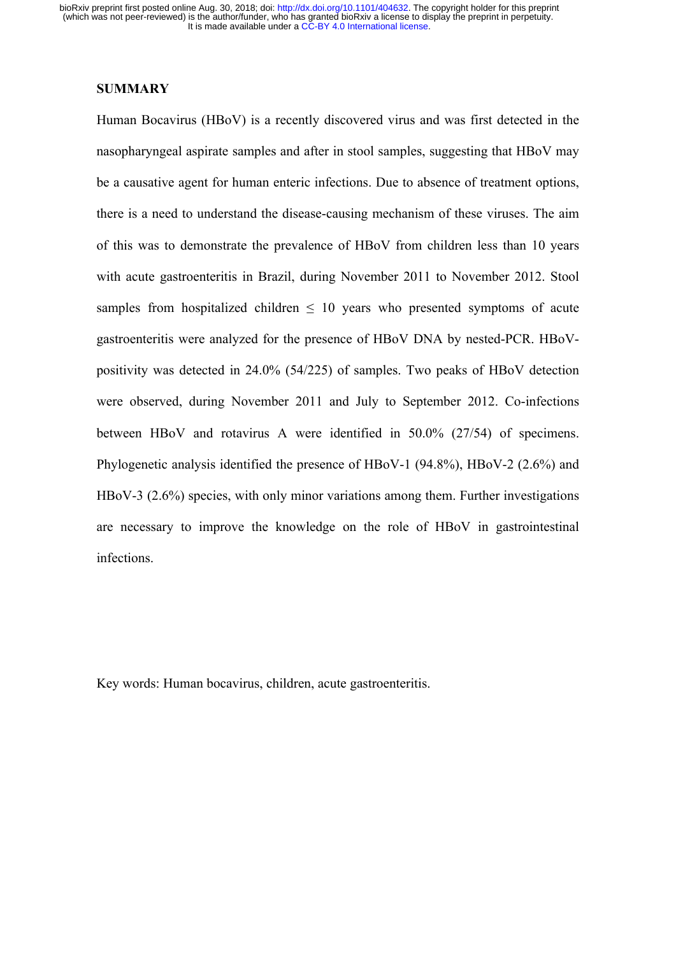## **SUMMARY**

Human Bocavirus (HBoV) is a recently discovered virus and was first detected in the nasopharyngeal aspirate samples and after in stool samples, suggesting that HBoV may be a causative agent for human enteric infections. Due to absence of treatment options, there is a need to understand the disease-causing mechanism of these viruses. The aim of this was to demonstrate the prevalence of HBoV from children less than 10 years with acute gastroenteritis in Brazil, during November 2011 to November 2012. Stool samples from hospitalized children  $\leq 10$  years who presented symptoms of acute gastroenteritis were analyzed for the presence of HBoV DNA by nested-PCR. HBoVpositivity was detected in 24.0% (54/225) of samples. Two peaks of HBoV detection were observed, during November 2011 and July to September 2012. Co-infections between HBoV and rotavirus A were identified in 50.0% (27/54) of specimens. Phylogenetic analysis identified the presence of HBoV-1 (94.8%), HBoV-2 (2.6%) and HBoV-3 (2.6%) species, with only minor variations among them. Further investigations are necessary to improve the knowledge on the role of HBoV in gastrointestinal infections.

Key words: Human bocavirus, children, acute gastroenteritis.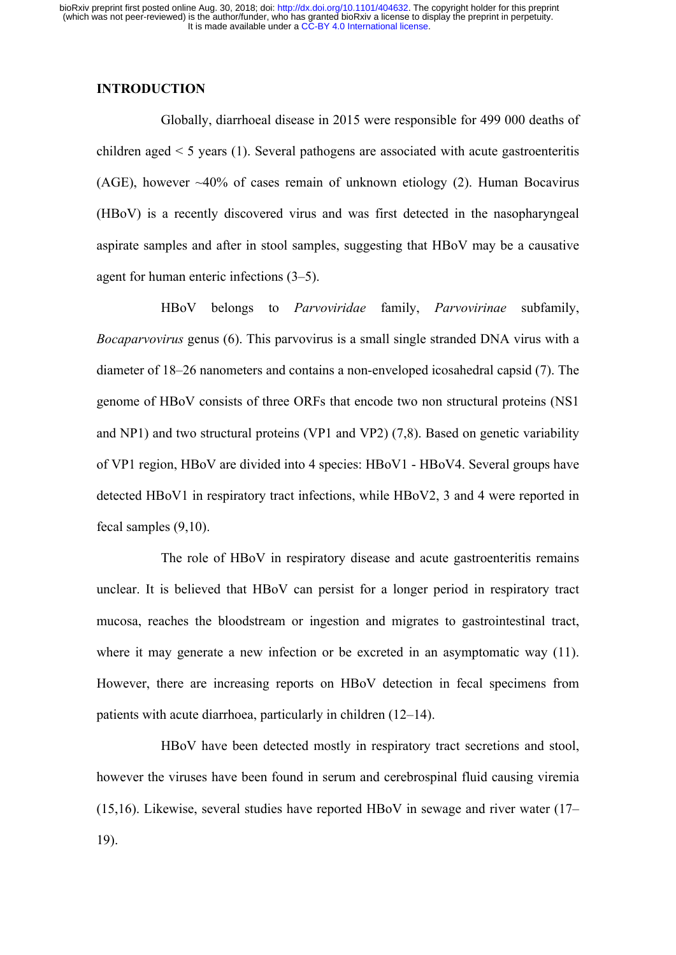# **INTRODUCTION**

Globally, diarrhoeal disease in 2015 were responsible for 499 000 deaths of children aged < 5 years (1). Several pathogens are associated with acute gastroenteritis (AGE), however ~40% of cases remain of unknown etiology (2). Human Bocavirus (HBoV) is a recently discovered virus and was first detected in the nasopharyngeal aspirate samples and after in stool samples, suggesting that HBoV may be a causative agent for human enteric infections (3–5).

HBoV belongs to *Parvoviridae* family, *Parvovirinae* subfamily, *Bocaparvovirus* genus (6). This parvovirus is a small single stranded DNA virus with a diameter of 18–26 nanometers and contains a non-enveloped icosahedral capsid (7). The genome of HBoV consists of three ORFs that encode two non structural proteins (NS1 and NP1) and two structural proteins (VP1 and VP2) (7,8). Based on genetic variability of VP1 region, HBoV are divided into 4 species: HBoV1 - HBoV4. Several groups have detected HBoV1 in respiratory tract infections, while HBoV2, 3 and 4 were reported in fecal samples (9,10).

The role of HBoV in respiratory disease and acute gastroenteritis remains unclear. It is believed that HBoV can persist for a longer period in respiratory tract mucosa, reaches the bloodstream or ingestion and migrates to gastrointestinal tract, where it may generate a new infection or be excreted in an asymptomatic way (11). However, there are increasing reports on HBoV detection in fecal specimens from patients with acute diarrhoea, particularly in children (12–14).

HBoV have been detected mostly in respiratory tract secretions and stool, however the viruses have been found in serum and cerebrospinal fluid causing viremia (15,16). Likewise, several studies have reported HBoV in sewage and river water (17– 19).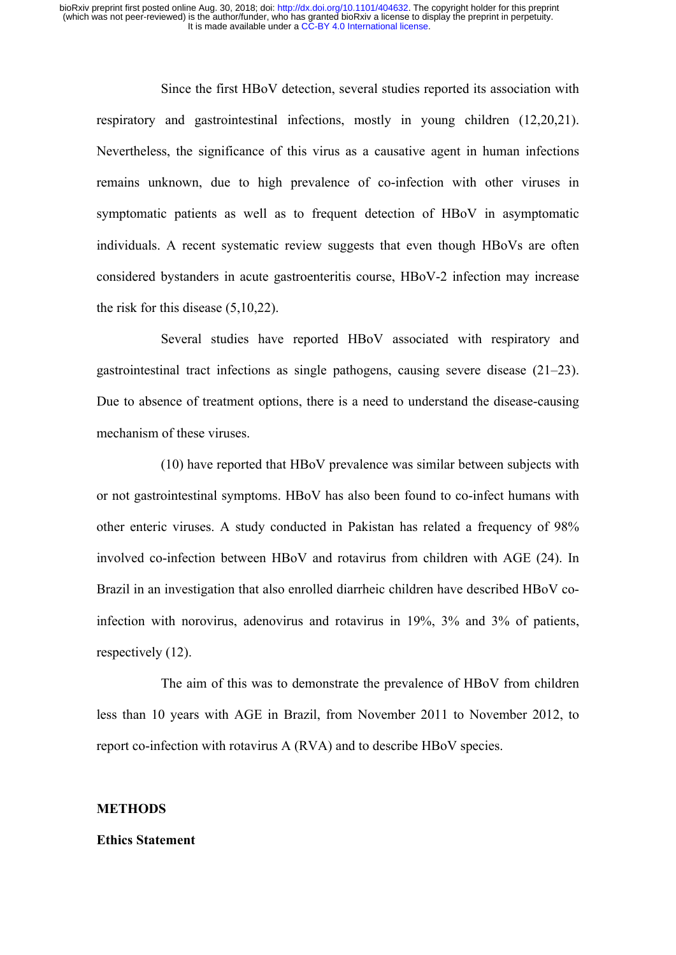Since the first HBoV detection, several studies reported its association with respiratory and gastrointestinal infections, mostly in young children (12,20,21). Nevertheless, the significance of this virus as a causative agent in human infections remains unknown, due to high prevalence of co-infection with other viruses in symptomatic patients as well as to frequent detection of HBoV in asymptomatic individuals. A recent systematic review suggests that even though HBoVs are often considered bystanders in acute gastroenteritis course, HBoV-2 infection may increase the risk for this disease (5,10,22).

Several studies have reported HBoV associated with respiratory and gastrointestinal tract infections as single pathogens, causing severe disease (21–23). Due to absence of treatment options, there is a need to understand the disease-causing mechanism of these viruses

(10) have reported that HBoV prevalence was similar between subjects with or not gastrointestinal symptoms. HBoV has also been found to co-infect humans with other enteric viruses. A study conducted in Pakistan has related a frequency of 98% involved co-infection between HBoV and rotavirus from children with AGE (24). In Brazil in an investigation that also enrolled diarrheic children have described HBoV coinfection with norovirus, adenovirus and rotavirus in 19%, 3% and 3% of patients, respectively (12).

The aim of this was to demonstrate the prevalence of HBoV from children less than 10 years with AGE in Brazil, from November 2011 to November 2012, to report co-infection with rotavirus A (RVA) and to describe HBoV species.

#### **METHODS**

#### **Ethics Statement**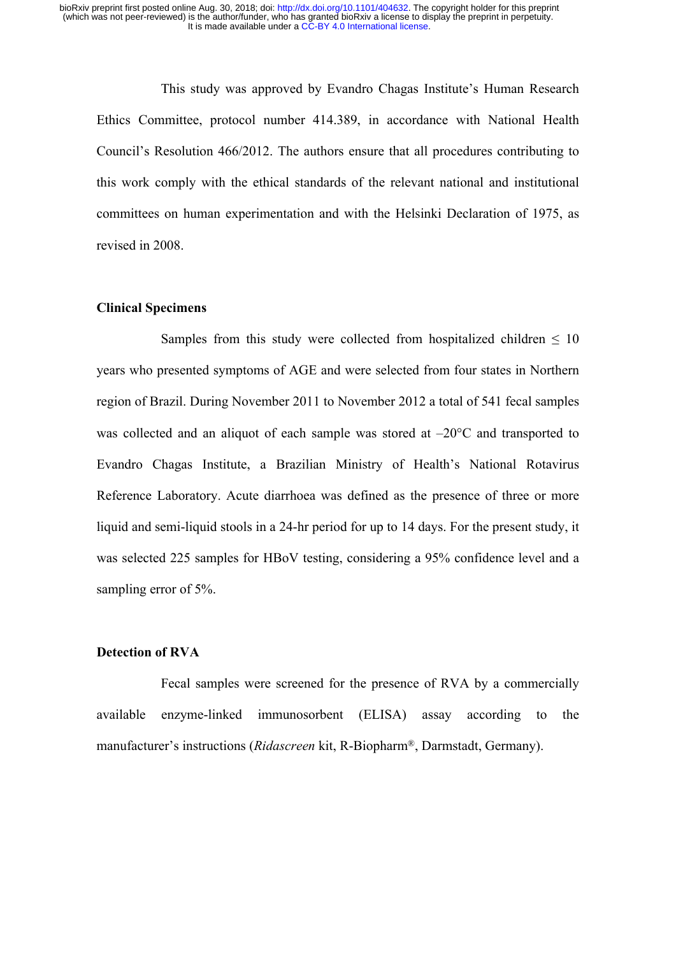This study was approved by Evandro Chagas Institute's Human Research Ethics Committee, protocol number 414.389, in accordance with National Health Council's Resolution 466/2012. The authors ensure that all procedures contributing to this work comply with the ethical standards of the relevant national and institutional committees on human experimentation and with the Helsinki Declaration of 1975, as revised in 2008.

#### **Clinical Specimens**

Samples from this study were collected from hospitalized children  $\leq 10$ years who presented symptoms of AGE and were selected from four states in Northern region of Brazil. During November 2011 to November 2012 a total of 541 fecal samples was collected and an aliquot of each sample was stored at  $-20^{\circ}$ C and transported to Evandro Chagas Institute, a Brazilian Ministry of Health's National Rotavirus Reference Laboratory. Acute diarrhoea was defined as the presence of three or more liquid and semi-liquid stools in a 24-hr period for up to 14 days. For the present study, it was selected 225 samples for HBoV testing, considering a 95% confidence level and a sampling error of 5%.

# **Detection of RVA**

Fecal samples were screened for the presence of RVA by a commercially available enzyme-linked immunosorbent (ELISA) assay according to the manufacturer's instructions (*Ridascreen* kit, R-Biopharm®, Darmstadt, Germany).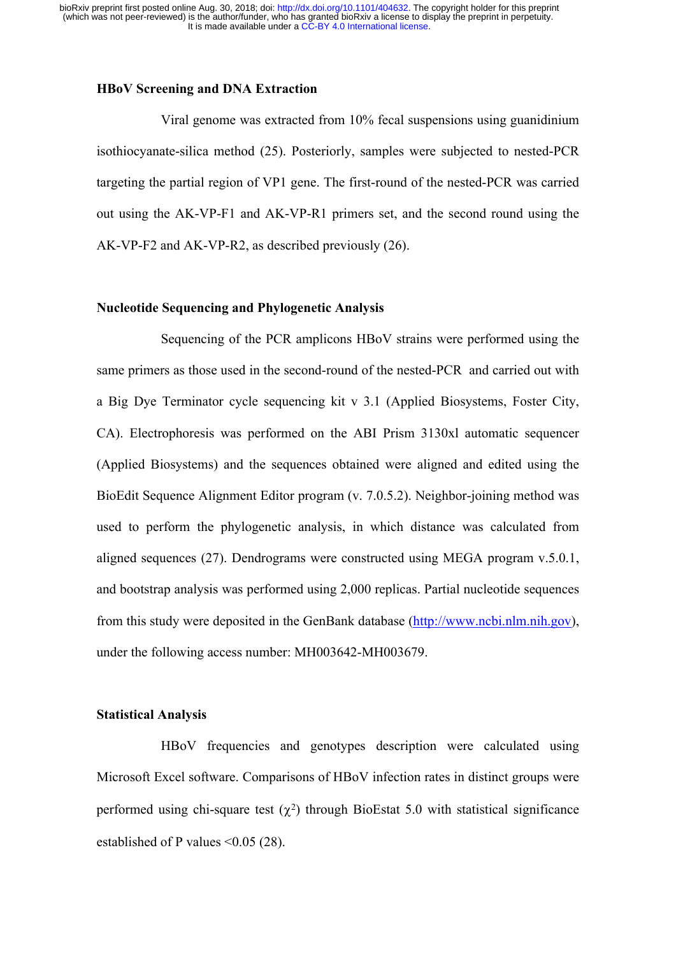### **HBoV Screening and DNA Extraction**

Viral genome was extracted from 10% fecal suspensions using guanidinium isothiocyanate-silica method (25). Posteriorly, samples were subjected to nested-PCR targeting the partial region of VP1 gene. The first-round of the nested-PCR was carried out using the AK-VP-F1 and AK-VP-R1 primers set, and the second round using the AK-VP-F2 and AK-VP-R2, as described previously (26).

### **Nucleotide Sequencing and Phylogenetic Analysis**

Sequencing of the PCR amplicons HBoV strains were performed using the same primers as those used in the second-round of the nested-PCR and carried out with a Big Dye Terminator cycle sequencing kit v 3.1 (Applied Biosystems, Foster City, CA). Electrophoresis was performed on the ABI Prism 3130xl automatic sequencer (Applied Biosystems) and the sequences obtained were aligned and edited using the BioEdit Sequence Alignment Editor program (v. 7.0.5.2). Neighbor-joining method was used to perform the phylogenetic analysis, in which distance was calculated from aligned sequences (27). Dendrograms were constructed using MEGA program v.5.0.1, and bootstrap analysis was performed using 2,000 replicas. Partial nucleotide sequences from this study were deposited in the GenBank database (http://www.ncbi.nlm.nih.gov), under the following access number: MH003642-MH003679.

# **Statistical Analysis**

HBoV frequencies and genotypes description were calculated using Microsoft Excel software. Comparisons of HBoV infection rates in distinct groups were performed using chi-square test  $(\chi^2)$  through BioEstat 5.0 with statistical significance established of P values <0.05 (28).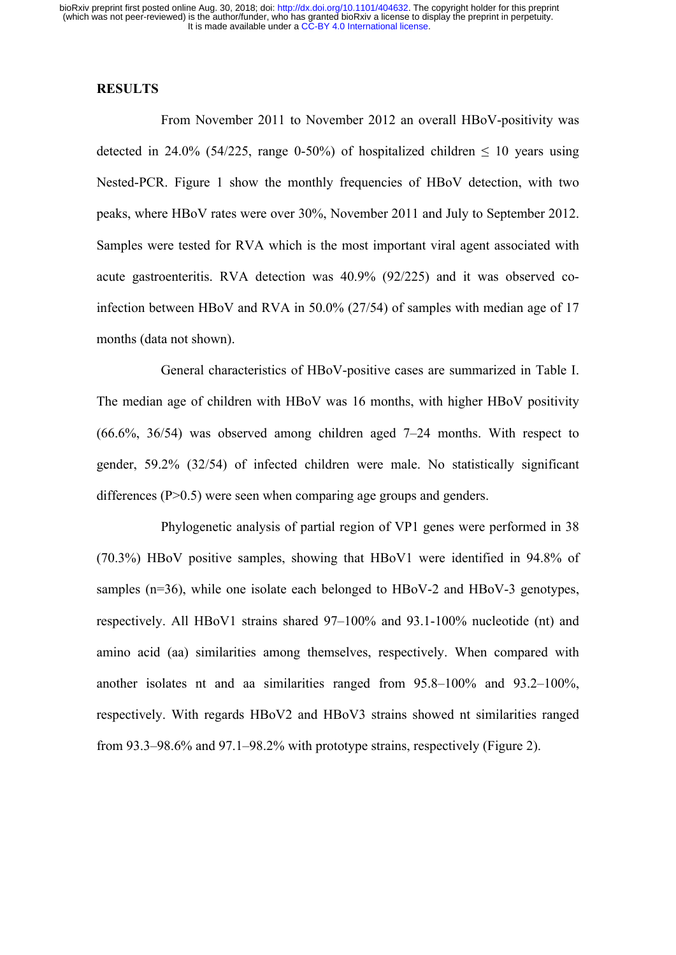#### **RESULTS**

From November 2011 to November 2012 an overall HBoV-positivity was detected in 24.0% (54/225, range 0-50%) of hospitalized children  $\leq$  10 years using Nested-PCR. Figure 1 show the monthly frequencies of HBoV detection, with two peaks, where HBoV rates were over 30%, November 2011 and July to September 2012. Samples were tested for RVA which is the most important viral agent associated with acute gastroenteritis. RVA detection was 40.9% (92/225) and it was observed coinfection between HBoV and RVA in 50.0% (27/54) of samples with median age of 17 months (data not shown).

General characteristics of HBoV-positive cases are summarized in Table I. The median age of children with HBoV was 16 months, with higher HBoV positivity (66.6%, 36/54) was observed among children aged 7–24 months. With respect to gender, 59.2% (32/54) of infected children were male. No statistically significant differences  $(P>0.5)$  were seen when comparing age groups and genders.

Phylogenetic analysis of partial region of VP1 genes were performed in 38 (70.3%) HBoV positive samples, showing that HBoV1 were identified in 94.8% of samples (n=36), while one isolate each belonged to HBoV-2 and HBoV-3 genotypes, respectively. All HBoV1 strains shared 97–100% and 93.1-100% nucleotide (nt) and amino acid (aa) similarities among themselves, respectively. When compared with another isolates nt and aa similarities ranged from 95.8–100% and 93.2–100%, respectively. With regards HBoV2 and HBoV3 strains showed nt similarities ranged from 93.3–98.6% and 97.1–98.2% with prototype strains, respectively (Figure 2).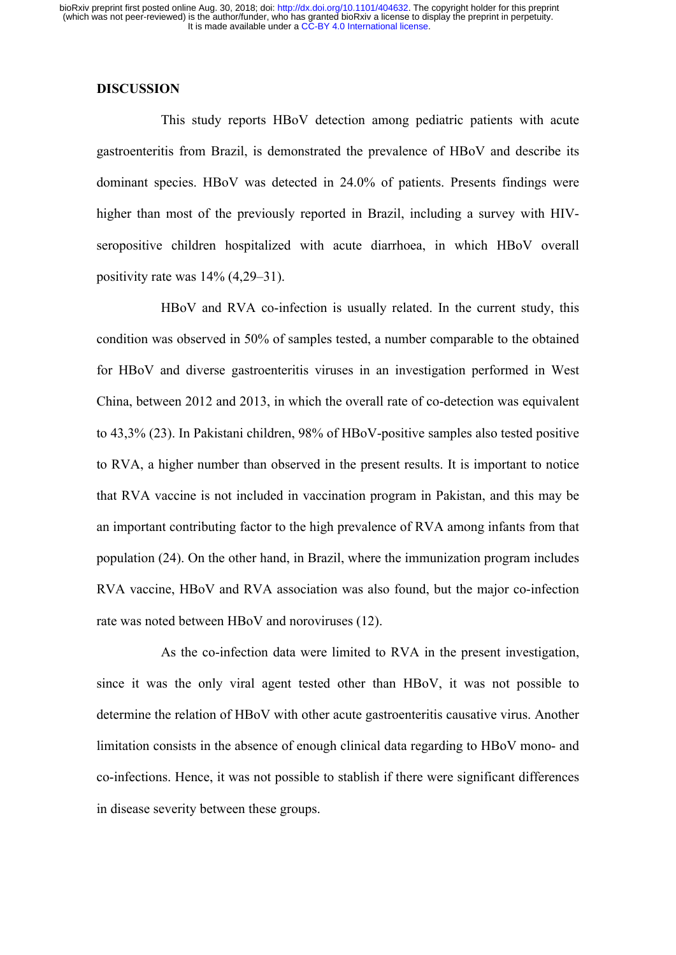#### **DISCUSSION**

This study reports HBoV detection among pediatric patients with acute gastroenteritis from Brazil, is demonstrated the prevalence of HBoV and describe its dominant species. HBoV was detected in 24.0% of patients. Presents findings were higher than most of the previously reported in Brazil, including a survey with HIVseropositive children hospitalized with acute diarrhoea, in which HBoV overall positivity rate was 14% (4,29–31).

HBoV and RVA co-infection is usually related. In the current study, this condition was observed in 50% of samples tested, a number comparable to the obtained for HBoV and diverse gastroenteritis viruses in an investigation performed in West China, between 2012 and 2013, in which the overall rate of co-detection was equivalent to 43,3% (23). In Pakistani children, 98% of HBoV-positive samples also tested positive to RVA, a higher number than observed in the present results. It is important to notice that RVA vaccine is not included in vaccination program in Pakistan, and this may be an important contributing factor to the high prevalence of RVA among infants from that population (24). On the other hand, in Brazil, where the immunization program includes RVA vaccine, HBoV and RVA association was also found, but the major co-infection rate was noted between HBoV and noroviruses (12).

As the co-infection data were limited to RVA in the present investigation, since it was the only viral agent tested other than HBoV, it was not possible to determine the relation of HBoV with other acute gastroenteritis causative virus. Another limitation consists in the absence of enough clinical data regarding to HBoV mono- and co-infections. Hence, it was not possible to stablish if there were significant differences in disease severity between these groups.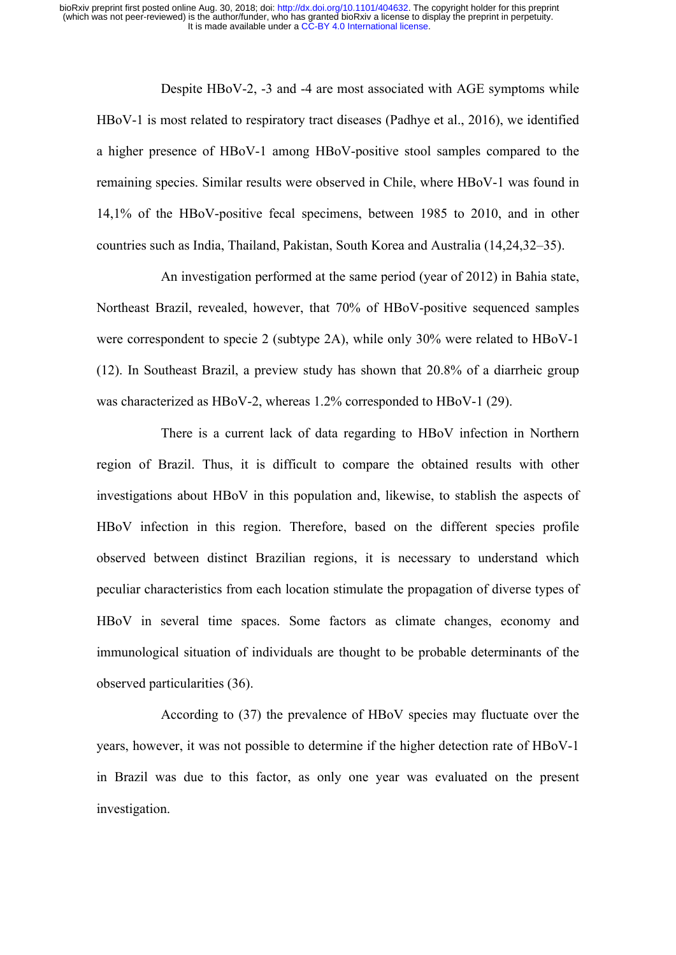Despite HBoV-2, -3 and -4 are most associated with AGE symptoms while HBoV-1 is most related to respiratory tract diseases (Padhye et al., 2016), we identified a higher presence of HBoV-1 among HBoV-positive stool samples compared to the remaining species. Similar results were observed in Chile, where HBoV-1 was found in 14,1% of the HBoV-positive fecal specimens, between 1985 to 2010, and in other countries such as India, Thailand, Pakistan, South Korea and Australia (14,24,32–35).

An investigation performed at the same period (year of 2012) in Bahia state, Northeast Brazil, revealed, however, that 70% of HBoV-positive sequenced samples were correspondent to specie 2 (subtype 2A), while only 30% were related to HBoV-1 (12). In Southeast Brazil, a preview study has shown that 20.8% of a diarrheic group was characterized as HBoV-2, whereas 1.2% corresponded to HBoV-1 (29).

There is a current lack of data regarding to HBoV infection in Northern region of Brazil. Thus, it is difficult to compare the obtained results with other investigations about HBoV in this population and, likewise, to stablish the aspects of HBoV infection in this region. Therefore, based on the different species profile observed between distinct Brazilian regions, it is necessary to understand which peculiar characteristics from each location stimulate the propagation of diverse types of HBoV in several time spaces. Some factors as climate changes, economy and immunological situation of individuals are thought to be probable determinants of the observed particularities (36).

According to (37) the prevalence of HBoV species may fluctuate over the years, however, it was not possible to determine if the higher detection rate of HBoV-1 in Brazil was due to this factor, as only one year was evaluated on the present investigation.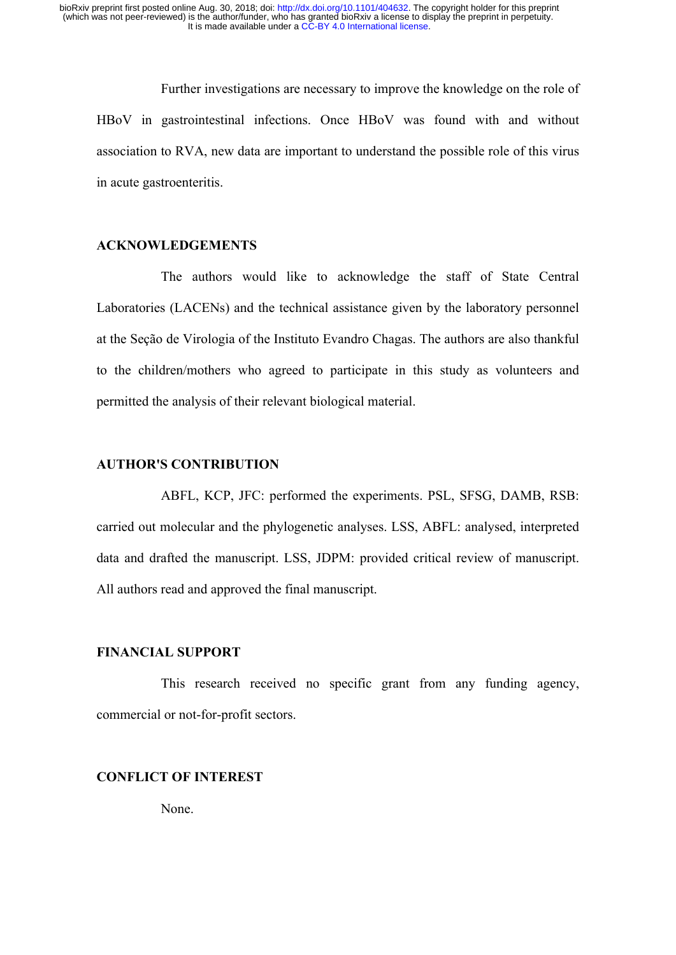Further investigations are necessary to improve the knowledge on the role of HBoV in gastrointestinal infections. Once HBoV was found with and without association to RVA, new data are important to understand the possible role of this virus in acute gastroenteritis.

# **ACKNOWLEDGEMENTS**

The authors would like to acknowledge the staff of State Central Laboratories (LACENs) and the technical assistance given by the laboratory personnel at the Seção de Virologia of the Instituto Evandro Chagas. The authors are also thankful to the children/mothers who agreed to participate in this study as volunteers and permitted the analysis of their relevant biological material.

## **AUTHOR'S CONTRIBUTION**

ABFL, KCP, JFC: performed the experiments. PSL, SFSG, DAMB, RSB: carried out molecular and the phylogenetic analyses. LSS, ABFL: analysed, interpreted data and drafted the manuscript. LSS, JDPM: provided critical review of manuscript. All authors read and approved the final manuscript.

## **FINANCIAL SUPPORT**

This research received no specific grant from any funding agency, commercial or not-for-profit sectors.

## **CONFLICT OF INTEREST**

None.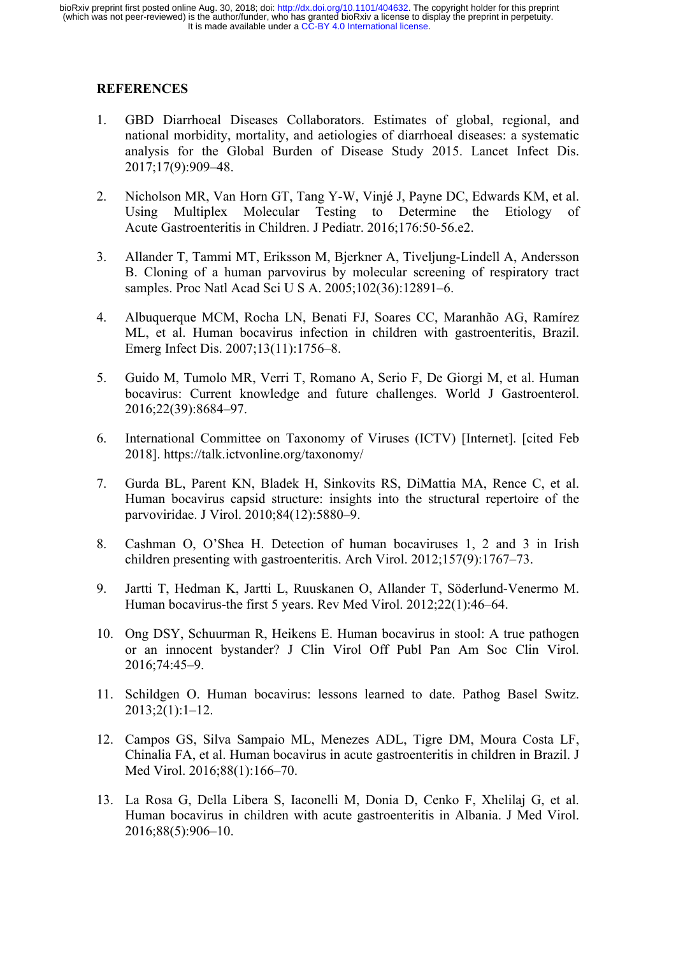# **REFERENCES**

- 1. GBD Diarrhoeal Diseases Collaborators. Estimates of global, regional, and national morbidity, mortality, and aetiologies of diarrhoeal diseases: a systematic analysis for the Global Burden of Disease Study 2015. Lancet Infect Dis. 2017;17(9):909–48.
- 2. Nicholson MR, Van Horn GT, Tang Y-W, Vinjé J, Payne DC, Edwards KM, et al. Using Multiplex Molecular Testing to Determine the Etiology of Acute Gastroenteritis in Children. J Pediatr. 2016;176:50-56.e2.
- 3. Allander T, Tammi MT, Eriksson M, Bjerkner A, Tiveljung-Lindell A, Andersson B. Cloning of a human parvovirus by molecular screening of respiratory tract samples. Proc Natl Acad Sci U S A. 2005;102(36):12891–6.
- 4. Albuquerque MCM, Rocha LN, Benati FJ, Soares CC, Maranhão AG, Ramírez ML, et al. Human bocavirus infection in children with gastroenteritis, Brazil. Emerg Infect Dis. 2007;13(11):1756–8.
- 5. Guido M, Tumolo MR, Verri T, Romano A, Serio F, De Giorgi M, et al. Human bocavirus: Current knowledge and future challenges. World J Gastroenterol. 2016;22(39):8684–97.
- 6. International Committee on Taxonomy of Viruses (ICTV) [Internet]. [cited Feb 2018]. https://talk.ictvonline.org/taxonomy/
- 7. Gurda BL, Parent KN, Bladek H, Sinkovits RS, DiMattia MA, Rence C, et al. Human bocavirus capsid structure: insights into the structural repertoire of the parvoviridae. J Virol. 2010;84(12):5880–9.
- 8. Cashman O, O'Shea H. Detection of human bocaviruses 1, 2 and 3 in Irish children presenting with gastroenteritis. Arch Virol. 2012;157(9):1767–73.
- 9. Jartti T, Hedman K, Jartti L, Ruuskanen O, Allander T, Söderlund-Venermo M. Human bocavirus-the first 5 years. Rev Med Virol. 2012;22(1):46–64.
- 10. Ong DSY, Schuurman R, Heikens E. Human bocavirus in stool: A true pathogen or an innocent bystander? J Clin Virol Off Publ Pan Am Soc Clin Virol. 2016;74:45–9.
- 11. Schildgen O. Human bocavirus: lessons learned to date. Pathog Basel Switz. 2013;2(1):1–12.
- 12. Campos GS, Silva Sampaio ML, Menezes ADL, Tigre DM, Moura Costa LF, Chinalia FA, et al. Human bocavirus in acute gastroenteritis in children in Brazil. J Med Virol. 2016;88(1):166–70.
- 13. La Rosa G, Della Libera S, Iaconelli M, Donia D, Cenko F, Xhelilaj G, et al. Human bocavirus in children with acute gastroenteritis in Albania. J Med Virol. 2016;88(5):906–10.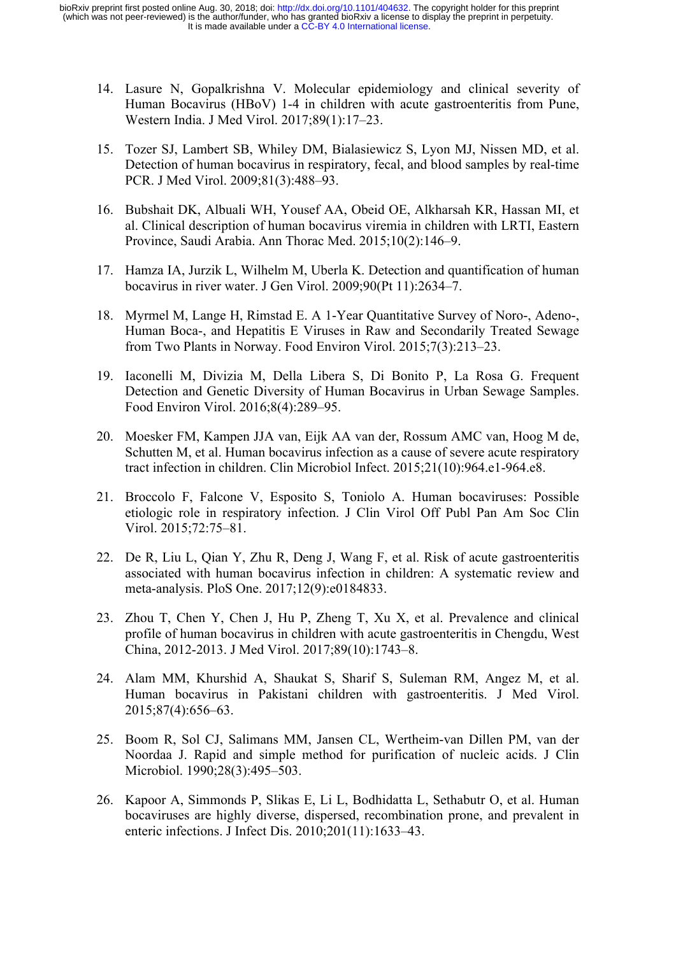- 14. Lasure N, Gopalkrishna V. Molecular epidemiology and clinical severity of Human Bocavirus (HBoV) 1-4 in children with acute gastroenteritis from Pune, Western India. J Med Virol. 2017;89(1):17–23.
- 15. Tozer SJ, Lambert SB, Whiley DM, Bialasiewicz S, Lyon MJ, Nissen MD, et al. Detection of human bocavirus in respiratory, fecal, and blood samples by real-time PCR. J Med Virol. 2009;81(3):488–93.
- 16. Bubshait DK, Albuali WH, Yousef AA, Obeid OE, Alkharsah KR, Hassan MI, et al. Clinical description of human bocavirus viremia in children with LRTI, Eastern Province, Saudi Arabia. Ann Thorac Med. 2015;10(2):146–9.
- 17. Hamza IA, Jurzik L, Wilhelm M, Uberla K. Detection and quantification of human bocavirus in river water. J Gen Virol. 2009;90(Pt 11):2634–7.
- 18. Myrmel M, Lange H, Rimstad E. A 1-Year Quantitative Survey of Noro-, Adeno-, Human Boca-, and Hepatitis E Viruses in Raw and Secondarily Treated Sewage from Two Plants in Norway. Food Environ Virol. 2015;7(3):213–23.
- 19. Iaconelli M, Divizia M, Della Libera S, Di Bonito P, La Rosa G. Frequent Detection and Genetic Diversity of Human Bocavirus in Urban Sewage Samples. Food Environ Virol. 2016;8(4):289–95.
- 20. Moesker FM, Kampen JJA van, Eijk AA van der, Rossum AMC van, Hoog M de, Schutten M, et al. Human bocavirus infection as a cause of severe acute respiratory tract infection in children. Clin Microbiol Infect. 2015;21(10):964.e1-964.e8.
- 21. Broccolo F, Falcone V, Esposito S, Toniolo A. Human bocaviruses: Possible etiologic role in respiratory infection. J Clin Virol Off Publ Pan Am Soc Clin Virol. 2015;72:75–81.
- 22. De R, Liu L, Qian Y, Zhu R, Deng J, Wang F, et al. Risk of acute gastroenteritis associated with human bocavirus infection in children: A systematic review and meta-analysis. PloS One. 2017;12(9):e0184833.
- 23. Zhou T, Chen Y, Chen J, Hu P, Zheng T, Xu X, et al. Prevalence and clinical profile of human bocavirus in children with acute gastroenteritis in Chengdu, West China, 2012-2013. J Med Virol. 2017;89(10):1743–8.
- 24. Alam MM, Khurshid A, Shaukat S, Sharif S, Suleman RM, Angez M, et al. Human bocavirus in Pakistani children with gastroenteritis. J Med Virol. 2015;87(4):656–63.
- 25. Boom R, Sol CJ, Salimans MM, Jansen CL, Wertheim-van Dillen PM, van der Noordaa J. Rapid and simple method for purification of nucleic acids. J Clin Microbiol. 1990;28(3):495–503.
- 26. Kapoor A, Simmonds P, Slikas E, Li L, Bodhidatta L, Sethabutr O, et al. Human bocaviruses are highly diverse, dispersed, recombination prone, and prevalent in enteric infections. J Infect Dis. 2010;201(11):1633–43.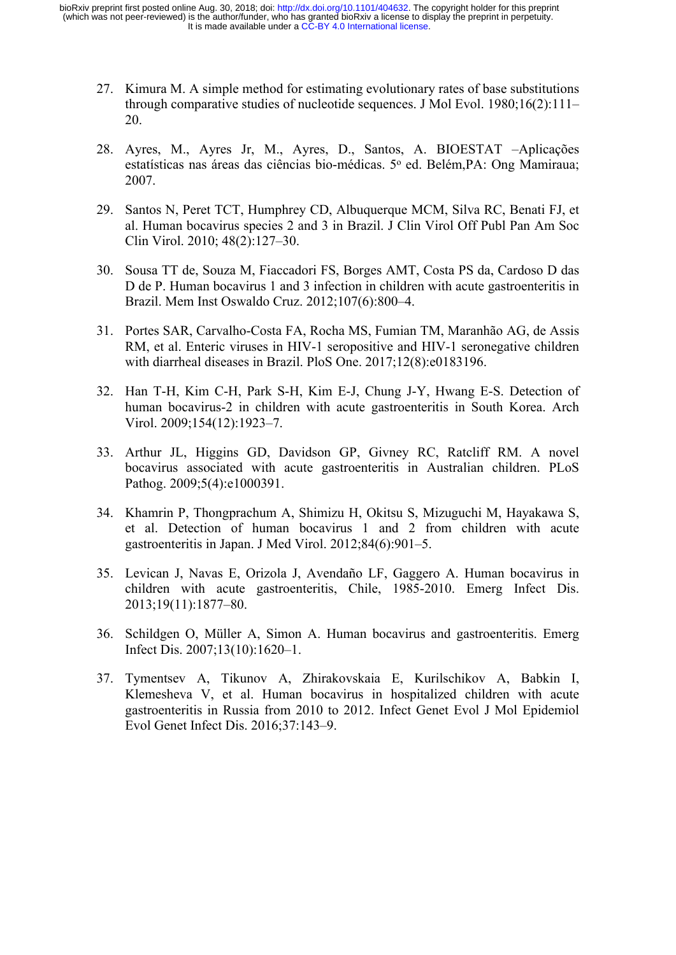- 27. Kimura M. A simple method for estimating evolutionary rates of base substitutions through comparative studies of nucleotide sequences. J Mol Evol. 1980;16(2):111– 20.
- 28. Ayres, M., Ayres Jr, M., Ayres, D., Santos, A. BIOESTAT –Aplicações estatísticas nas áreas das ciências bio-médicas. 5° ed. Belém, PA: Ong Mamiraua; 2007.
- 29. Santos N, Peret TCT, Humphrey CD, Albuquerque MCM, Silva RC, Benati FJ, et al. Human bocavirus species 2 and 3 in Brazil. J Clin Virol Off Publ Pan Am Soc Clin Virol. 2010; 48(2):127–30.
- 30. Sousa TT de, Souza M, Fiaccadori FS, Borges AMT, Costa PS da, Cardoso D das D de P. Human bocavirus 1 and 3 infection in children with acute gastroenteritis in Brazil. Mem Inst Oswaldo Cruz. 2012;107(6):800–4.
- 31. Portes SAR, Carvalho-Costa FA, Rocha MS, Fumian TM, Maranhão AG, de Assis RM, et al. Enteric viruses in HIV-1 seropositive and HIV-1 seronegative children with diarrheal diseases in Brazil. PloS One. 2017;12(8):e0183196.
- 32. Han T-H, Kim C-H, Park S-H, Kim E-J, Chung J-Y, Hwang E-S. Detection of human bocavirus-2 in children with acute gastroenteritis in South Korea. Arch Virol. 2009;154(12):1923–7.
- 33. Arthur JL, Higgins GD, Davidson GP, Givney RC, Ratcliff RM. A novel bocavirus associated with acute gastroenteritis in Australian children. PLoS Pathog. 2009;5(4):e1000391.
- 34. Khamrin P, Thongprachum A, Shimizu H, Okitsu S, Mizuguchi M, Hayakawa S, et al. Detection of human bocavirus 1 and 2 from children with acute gastroenteritis in Japan. J Med Virol. 2012;84(6):901–5.
- 35. Levican J, Navas E, Orizola J, Avendaño LF, Gaggero A. Human bocavirus in children with acute gastroenteritis, Chile, 1985-2010. Emerg Infect Dis. 2013;19(11):1877–80.
- 36. Schildgen O, Müller A, Simon A. Human bocavirus and gastroenteritis. Emerg Infect Dis. 2007;13(10):1620–1.
- 37. Tymentsev A, Tikunov A, Zhirakovskaia E, Kurilschikov A, Babkin I, Klemesheva V, et al. Human bocavirus in hospitalized children with acute gastroenteritis in Russia from 2010 to 2012. Infect Genet Evol J Mol Epidemiol Evol Genet Infect Dis. 2016;37:143–9.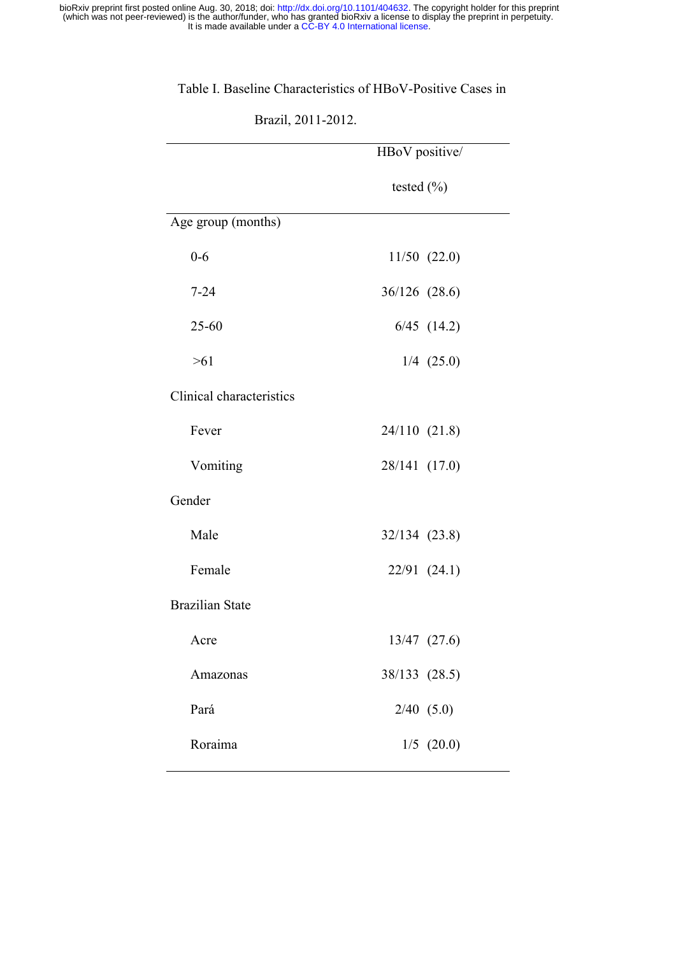# Table I. Baseline Characteristics of HBoV-Positive Cases in

Brazil, 2011-2012.

|                          | HBoV positive/   |
|--------------------------|------------------|
|                          | tested $(\% )$   |
| Age group (months)       |                  |
| $0 - 6$                  | $11/50$ $(22.0)$ |
| $7 - 24$                 | 36/126 (28.6)    |
| $25 - 60$                | $6/45$ $(14.2)$  |
| >61                      | $1/4$ (25.0)     |
| Clinical characteristics |                  |
| Fever                    | 24/110 (21.8)    |
| Vomiting                 | 28/141 (17.0)    |
| Gender                   |                  |
| Male                     | 32/134 (23.8)    |
| Female                   | $22/91$ $(24.1)$ |
| <b>Brazilian State</b>   |                  |
| Acre                     | 13/47 (27.6)     |
| Amazonas                 | 38/133 (28.5)    |
| Pará                     | $2/40$ (5.0)     |
| Roraima                  | $1/5$ (20.0)     |
|                          |                  |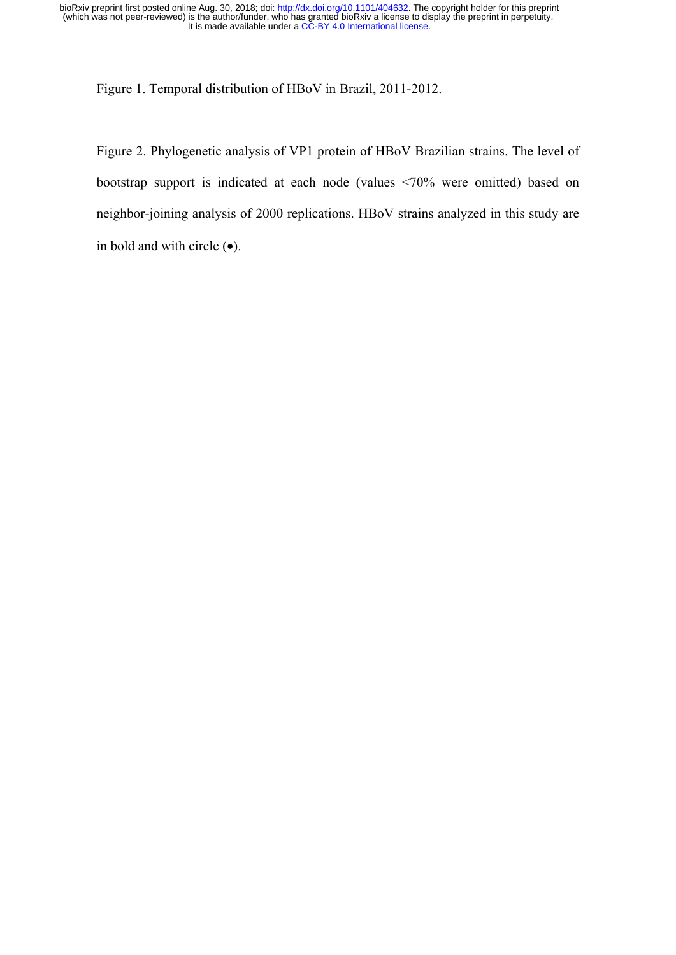Figure 1. Temporal distribution of HBoV in Brazil, 2011-2012.

Figure 2. Phylogenetic analysis of VP1 protein of HBoV Brazilian strains. The level of bootstrap support is indicated at each node (values <70% were omitted) based on neighbor-joining analysis of 2000 replications. HBoV strains analyzed in this study are in bold and with circle  $(\bullet)$ .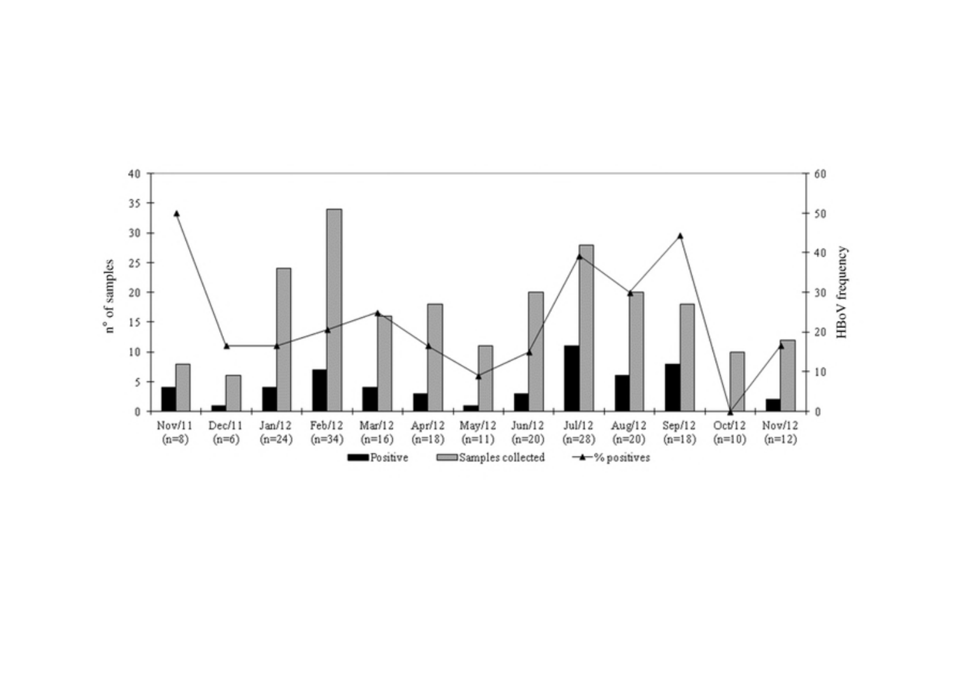